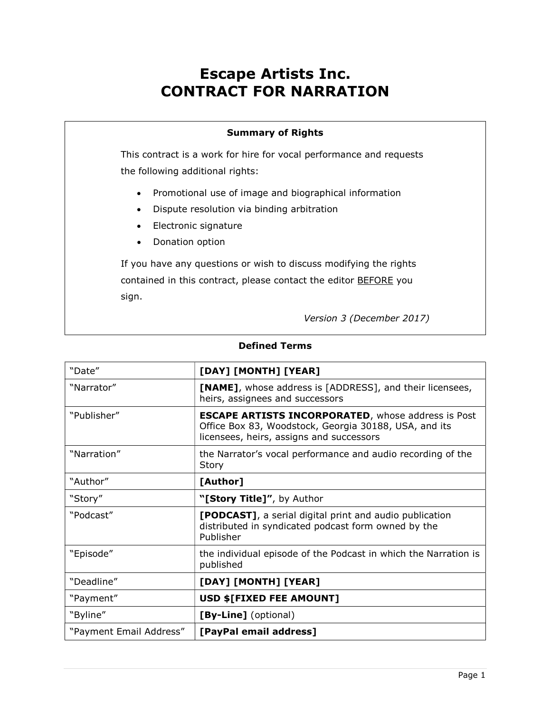# Escape Artists Inc. CONTRACT FOR NARRATION

#### Summary of Rights

This contract is a work for hire for vocal performance and requests the following additional rights:

- Promotional use of image and biographical information
- Dispute resolution via binding arbitration
- Electronic signature
- Donation option

If you have any questions or wish to discuss modifying the rights contained in this contract, please contact the editor **BEFORE** you sign.

Version 3 (December 2017)

| "Date"                  | [DAY] [MONTH] [YEAR]                                                                                                                                           |
|-------------------------|----------------------------------------------------------------------------------------------------------------------------------------------------------------|
| "Narrator"              | <b>[NAME]</b> , whose address is [ADDRESS], and their licensees,<br>heirs, assignees and successors                                                            |
| "Publisher"             | <b>ESCAPE ARTISTS INCORPORATED, whose address is Post</b><br>Office Box 83, Woodstock, Georgia 30188, USA, and its<br>licensees, heirs, assigns and successors |
| "Narration"             | the Narrator's vocal performance and audio recording of the<br>Story                                                                                           |
| "Author"                | [Author]                                                                                                                                                       |
| "Story"                 | "[Story Title]", by Author                                                                                                                                     |
| "Podcast"               | <b>[PODCAST]</b> , a serial digital print and audio publication<br>distributed in syndicated podcast form owned by the<br>Publisher                            |
| "Episode"               | the individual episode of the Podcast in which the Narration is<br>published                                                                                   |
| "Deadline"              | [DAY] [MONTH] [YEAR]                                                                                                                                           |
| "Payment"               | USD \$[FIXED FEE AMOUNT]                                                                                                                                       |
| "Byline"                | [By-Line] (optional)                                                                                                                                           |
| "Payment Email Address" | [PayPal email address]                                                                                                                                         |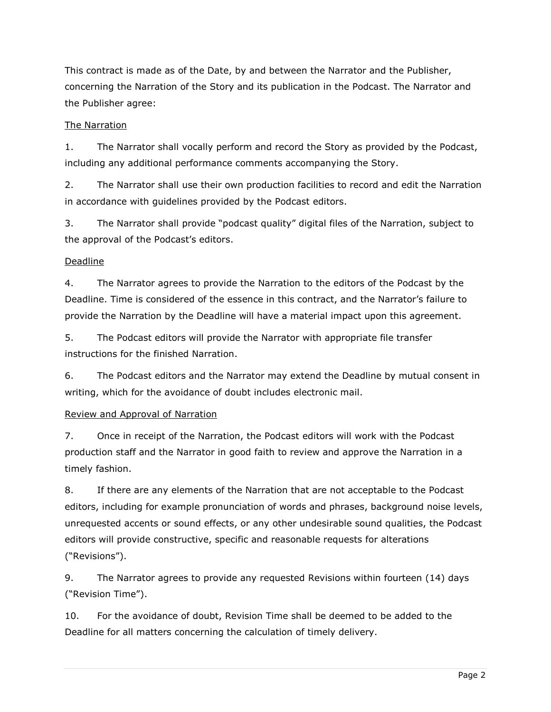This contract is made as of the Date, by and between the Narrator and the Publisher, concerning the Narration of the Story and its publication in the Podcast. The Narrator and the Publisher agree:

# The Narration

1. The Narrator shall vocally perform and record the Story as provided by the Podcast, including any additional performance comments accompanying the Story.

2. The Narrator shall use their own production facilities to record and edit the Narration in accordance with guidelines provided by the Podcast editors.

3. The Narrator shall provide "podcast quality" digital files of the Narration, subject to the approval of the Podcast's editors.

# Deadline

4. The Narrator agrees to provide the Narration to the editors of the Podcast by the Deadline. Time is considered of the essence in this contract, and the Narrator's failure to provide the Narration by the Deadline will have a material impact upon this agreement.

5. The Podcast editors will provide the Narrator with appropriate file transfer instructions for the finished Narration.

6. The Podcast editors and the Narrator may extend the Deadline by mutual consent in writing, which for the avoidance of doubt includes electronic mail.

#### Review and Approval of Narration

7. Once in receipt of the Narration, the Podcast editors will work with the Podcast production staff and the Narrator in good faith to review and approve the Narration in a timely fashion.

8. If there are any elements of the Narration that are not acceptable to the Podcast editors, including for example pronunciation of words and phrases, background noise levels, unrequested accents or sound effects, or any other undesirable sound qualities, the Podcast editors will provide constructive, specific and reasonable requests for alterations ("Revisions").

9. The Narrator agrees to provide any requested Revisions within fourteen (14) days ("Revision Time").

10. For the avoidance of doubt, Revision Time shall be deemed to be added to the Deadline for all matters concerning the calculation of timely delivery.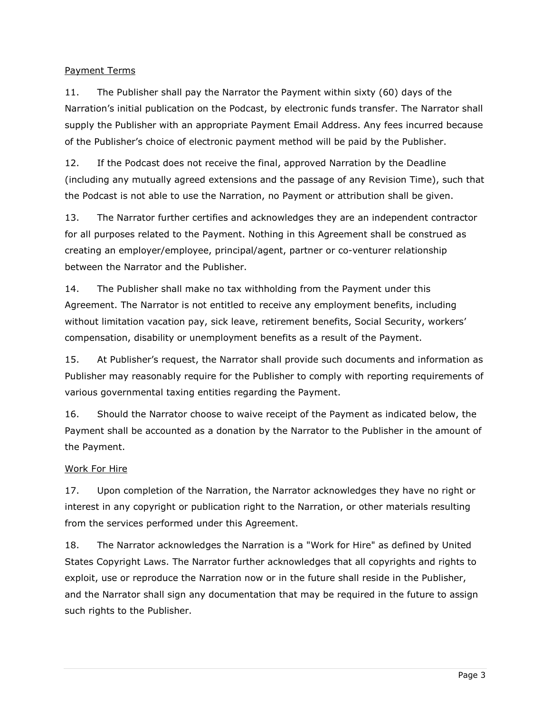#### Payment Terms

11. The Publisher shall pay the Narrator the Payment within sixty (60) days of the Narration's initial publication on the Podcast, by electronic funds transfer. The Narrator shall supply the Publisher with an appropriate Payment Email Address. Any fees incurred because of the Publisher's choice of electronic payment method will be paid by the Publisher.

12. If the Podcast does not receive the final, approved Narration by the Deadline (including any mutually agreed extensions and the passage of any Revision Time), such that the Podcast is not able to use the Narration, no Payment or attribution shall be given.

13. The Narrator further certifies and acknowledges they are an independent contractor for all purposes related to the Payment. Nothing in this Agreement shall be construed as creating an employer/employee, principal/agent, partner or co-venturer relationship between the Narrator and the Publisher.

14. The Publisher shall make no tax withholding from the Payment under this Agreement. The Narrator is not entitled to receive any employment benefits, including without limitation vacation pay, sick leave, retirement benefits, Social Security, workers' compensation, disability or unemployment benefits as a result of the Payment.

15. At Publisher's request, the Narrator shall provide such documents and information as Publisher may reasonably require for the Publisher to comply with reporting requirements of various governmental taxing entities regarding the Payment.

16. Should the Narrator choose to waive receipt of the Payment as indicated below, the Payment shall be accounted as a donation by the Narrator to the Publisher in the amount of the Payment.

#### Work For Hire

17. Upon completion of the Narration, the Narrator acknowledges they have no right or interest in any copyright or publication right to the Narration, or other materials resulting from the services performed under this Agreement.

18. The Narrator acknowledges the Narration is a "Work for Hire" as defined by United States Copyright Laws. The Narrator further acknowledges that all copyrights and rights to exploit, use or reproduce the Narration now or in the future shall reside in the Publisher, and the Narrator shall sign any documentation that may be required in the future to assign such rights to the Publisher.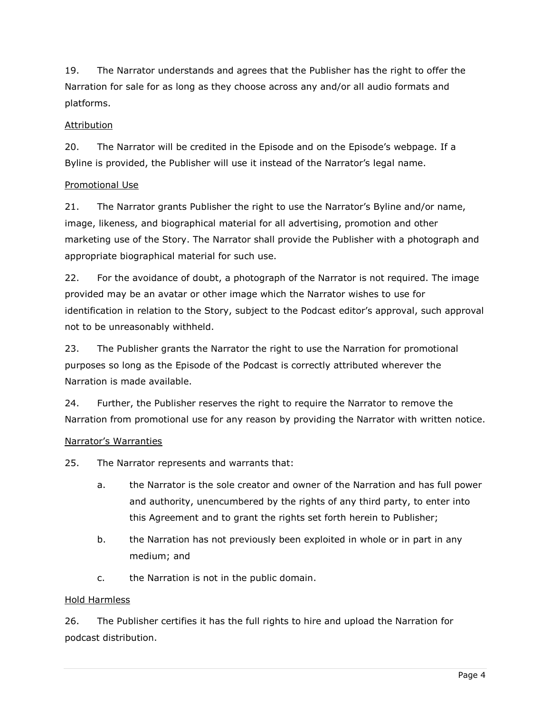19. The Narrator understands and agrees that the Publisher has the right to offer the Narration for sale for as long as they choose across any and/or all audio formats and platforms.

#### Attribution

20. The Narrator will be credited in the Episode and on the Episode's webpage. If a Byline is provided, the Publisher will use it instead of the Narrator's legal name.

# Promotional Use

21. The Narrator grants Publisher the right to use the Narrator's Byline and/or name, image, likeness, and biographical material for all advertising, promotion and other marketing use of the Story. The Narrator shall provide the Publisher with a photograph and appropriate biographical material for such use.

22. For the avoidance of doubt, a photograph of the Narrator is not required. The image provided may be an avatar or other image which the Narrator wishes to use for identification in relation to the Story, subject to the Podcast editor's approval, such approval not to be unreasonably withheld.

23. The Publisher grants the Narrator the right to use the Narration for promotional purposes so long as the Episode of the Podcast is correctly attributed wherever the Narration is made available.

24. Further, the Publisher reserves the right to require the Narrator to remove the Narration from promotional use for any reason by providing the Narrator with written notice.

#### Narrator's Warranties

25. The Narrator represents and warrants that:

- a. the Narrator is the sole creator and owner of the Narration and has full power and authority, unencumbered by the rights of any third party, to enter into this Agreement and to grant the rights set forth herein to Publisher;
- b. the Narration has not previously been exploited in whole or in part in any medium; and
- c. the Narration is not in the public domain.

#### Hold Harmless

26. The Publisher certifies it has the full rights to hire and upload the Narration for podcast distribution.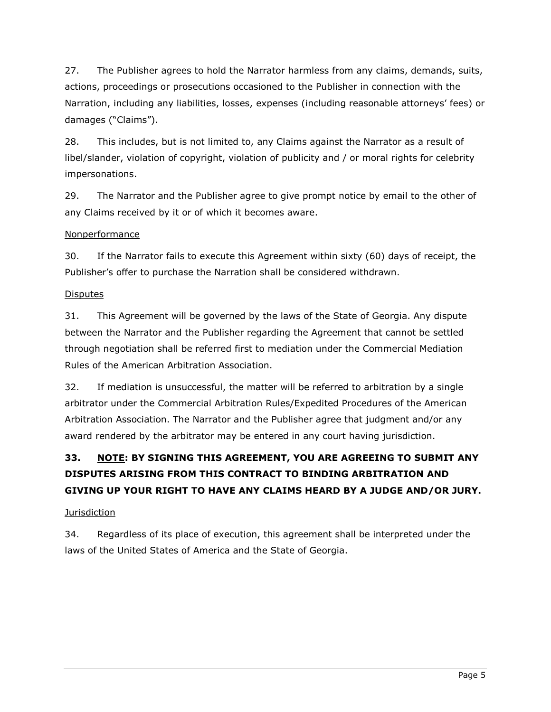27. The Publisher agrees to hold the Narrator harmless from any claims, demands, suits, actions, proceedings or prosecutions occasioned to the Publisher in connection with the Narration, including any liabilities, losses, expenses (including reasonable attorneys' fees) or damages ("Claims").

28. This includes, but is not limited to, any Claims against the Narrator as a result of libel/slander, violation of copyright, violation of publicity and / or moral rights for celebrity impersonations.

29. The Narrator and the Publisher agree to give prompt notice by email to the other of any Claims received by it or of which it becomes aware.

# Nonperformance

30. If the Narrator fails to execute this Agreement within sixty (60) days of receipt, the Publisher's offer to purchase the Narration shall be considered withdrawn.

# **Disputes**

31. This Agreement will be governed by the laws of the State of Georgia. Any dispute between the Narrator and the Publisher regarding the Agreement that cannot be settled through negotiation shall be referred first to mediation under the Commercial Mediation Rules of the American Arbitration Association.

32. If mediation is unsuccessful, the matter will be referred to arbitration by a single arbitrator under the Commercial Arbitration Rules/Expedited Procedures of the American Arbitration Association. The Narrator and the Publisher agree that judgment and/or any award rendered by the arbitrator may be entered in any court having jurisdiction.

# 33. NOTE: BY SIGNING THIS AGREEMENT, YOU ARE AGREEING TO SUBMIT ANY DISPUTES ARISING FROM THIS CONTRACT TO BINDING ARBITRATION AND GIVING UP YOUR RIGHT TO HAVE ANY CLAIMS HEARD BY A JUDGE AND/OR JURY.

# **Jurisdiction**

34. Regardless of its place of execution, this agreement shall be interpreted under the laws of the United States of America and the State of Georgia.